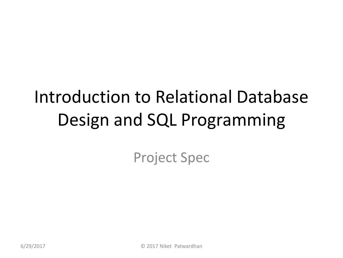#### Introduction to Relational Database Design and SQL Programming

Project Spec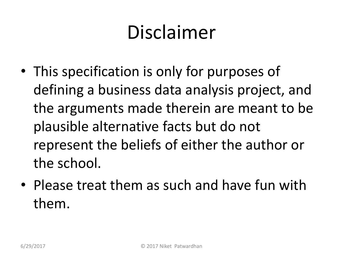#### Disclaimer

- This specification is only for purposes of defining a business data analysis project, and the arguments made therein are meant to be plausible alternative facts but do not represent the beliefs of either the author or the school.
- Please treat them as such and have fun with them.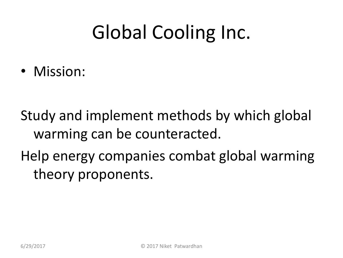• Mission:

Study and implement methods by which global warming can be counteracted.

Help energy companies combat global warming theory proponents.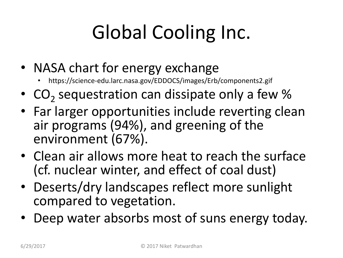- NASA chart for energy exchange
	- https://science-edu.larc.nasa.gov/EDDOCS/images/Erb/components2.gif
- $CO<sub>2</sub>$  sequestration can dissipate only a few %
- Far larger opportunities include reverting clean air programs (94%), and greening of the environment (67%).
- Clean air allows more heat to reach the surface (cf. nuclear winter, and effect of coal dust)
- Deserts/dry landscapes reflect more sunlight compared to vegetation.
- Deep water absorbs most of suns energy today.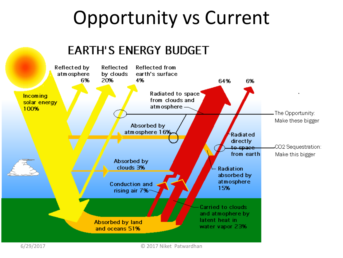#### Opportunity vs Current

#### **EARTH'S ENERGY BUDGET**



6/29/2017 © 2017 Niket Patwardhan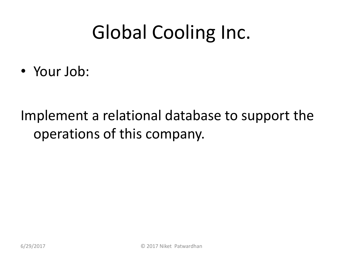• Your Job:

#### Implement a relational database to support the operations of this company.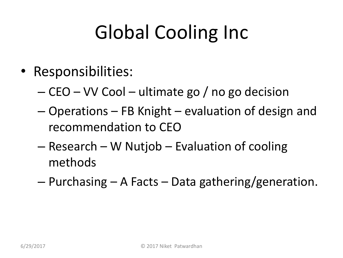- Responsibilities:
	- CEO VV Cool ultimate go / no go decision
	- Operations FB Knight evaluation of design and recommendation to CEO
	- Research W Nutjob Evaluation of cooling methods
	- Purchasing A Facts Data gathering/generation.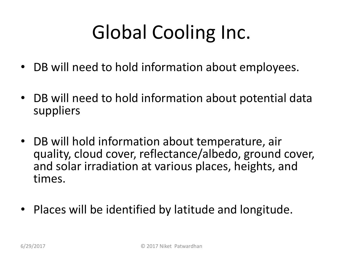- DB will need to hold information about employees.
- DB will need to hold information about potential data suppliers
- DB will hold information about temperature, air quality, cloud cover, reflectance/albedo, ground cover, and solar irradiation at various places, heights, and times.
- Places will be identified by latitude and longitude.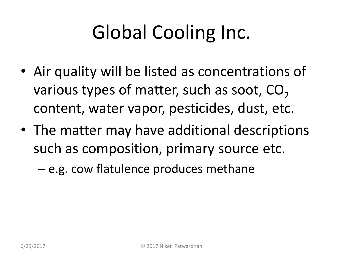- Air quality will be listed as concentrations of various types of matter, such as soot,  $CO<sub>2</sub>$ content, water vapor, pesticides, dust, etc.
- The matter may have additional descriptions such as composition, primary source etc.
	- e.g. cow flatulence produces methane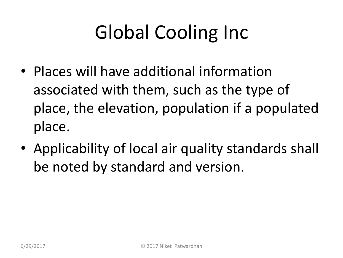- Places will have additional information associated with them, such as the type of place, the elevation, population if a populated place.
- Applicability of local air quality standards shall be noted by standard and version.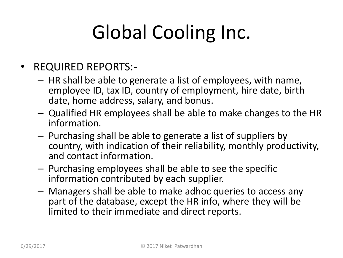- REQUIRED REPORTS:-
	- HR shall be able to generate a list of employees, with name, employee ID, tax ID, country of employment, hire date, birth date, home address, salary, and bonus.
	- Qualified HR employees shall be able to make changes to the HR information.
	- Purchasing shall be able to generate a list of suppliers by country, with indication of their reliability, monthly productivity, and contact information.
	- Purchasing employees shall be able to see the specific information contributed by each supplier.
	- Managers shall be able to make adhoc queries to access any part of the database, except the HR info, where they will be limited to their immediate and direct reports.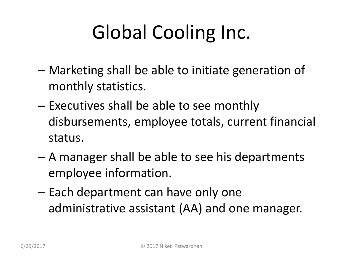- Marketing shall be able to initiate generation of monthly statistics.
- Executives shall be able to see monthly disbursements, employee totals, current financial status.
- A manager shall be able to see his departments employee information.
- Each department can have only one administrative assistant (AA) and one manager.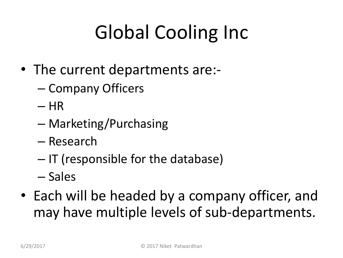- The current departments are:-
	- Company Officers
	- HR
	- Marketing/Purchasing
	- Research
	- IT (responsible for the database)
	- Sales
- Each will be headed by a company officer, and may have multiple levels of sub-departments.